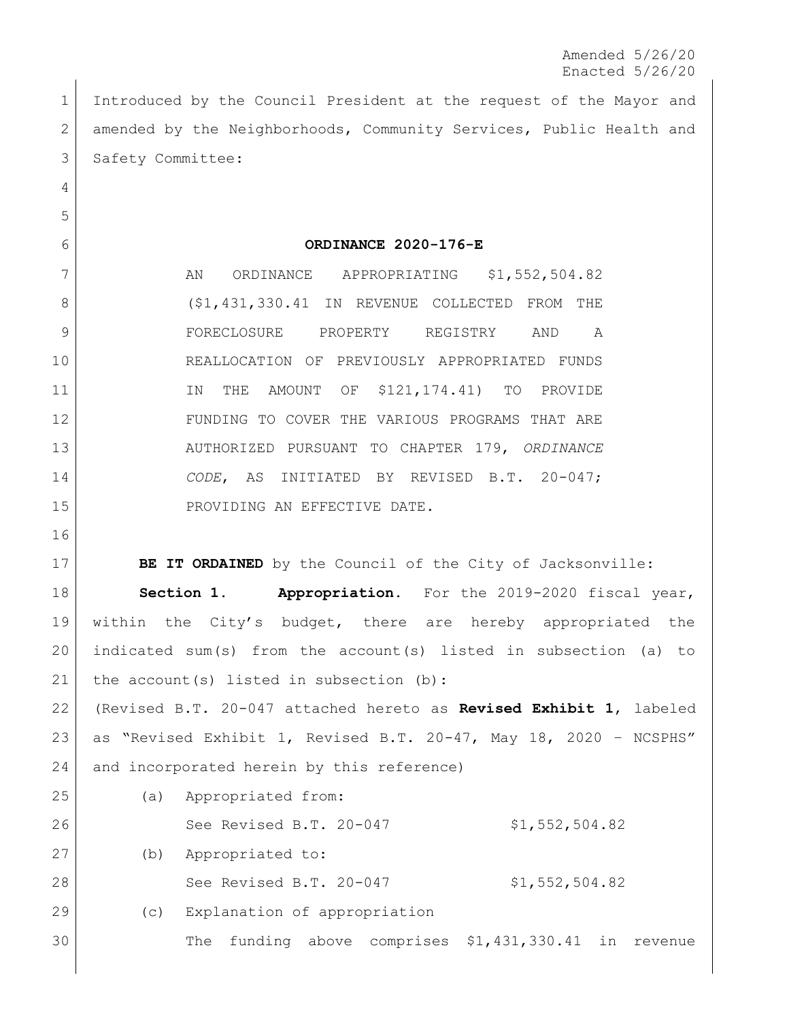Amended 5/26/20 Enacted 5/26/20

 Introduced by the Council President at the request of the Mayor and 2 amended by the Neighborhoods, Community Services, Public Health and 3 Safety Committee:

## **ORDINANCE 2020-176-E**

7 AN ORDINANCE APPROPRIATING \$1,552,504.82 8 (\$1,431,330.41 IN REVENUE COLLECTED FROM THE FORECLOSURE PROPERTY REGISTRY AND A REALLOCATION OF PREVIOUSLY APPROPRIATED FUNDS 11 IN THE AMOUNT OF \$121,174.41) TO PROVIDE FUNDING TO COVER THE VARIOUS PROGRAMS THAT ARE AUTHORIZED PURSUANT TO CHAPTER 179, *ORDINANCE CODE*, AS INITIATED BY REVISED B.T. 20-047; 15 PROVIDING AN EFFECTIVE DATE.

**BE IT ORDAINED** by the Council of the City of Jacksonville:

 **Section 1. Appropriation.** For the 2019-2020 fiscal year, within the City's budget, there are hereby appropriated the indicated sum(s) from the account(s) listed in subsection (a) to 21 | the account (s) listed in subsection (b):

 (Revised B.T. 20-047 attached hereto as **Revised Exhibit 1**, labeled as "Revised Exhibit 1, Revised B.T. 20-47, May 18, 2020 – NCSPHS" 24 and incorporated herein by this reference)

| 25 | (a) | Appropriated from:           |                                                   |
|----|-----|------------------------------|---------------------------------------------------|
| 26 |     | See Revised B.T. 20-047      | \$1,552,504.82                                    |
| 27 | (b) | Appropriated to:             |                                                   |
| 28 |     | See Revised B.T. 20-047      | \$1,552,504.82                                    |
| 29 | (C) | Explanation of appropriation |                                                   |
| 30 |     | The                          | funding above comprises \$1,431,330.41 in revenue |